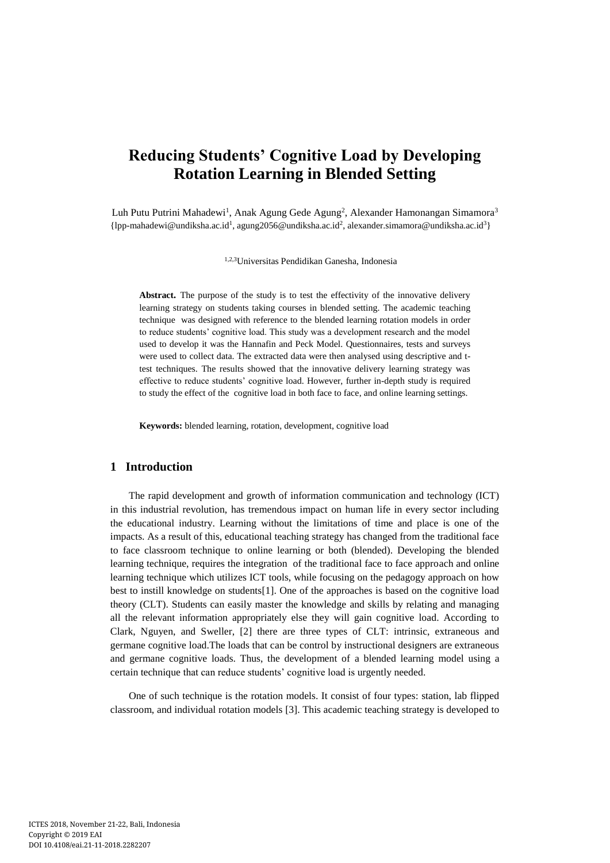# **Reducing Students' Cognitive Load by Developing Rotation Learning in Blended Setting**

Luh Putu Putrini Mahadewi<sup>1</sup>, Anak Agung Gede Agung<sup>2</sup>, Alexander Hamonangan Simamora<sup>3</sup> {lpp-mahadewi@undiksha.ac.id<sup>1</sup> , agung2056@undiksha.ac.id<sup>2</sup> , alexander.simamora@undiksha.ac.id<sup>3</sup>}

1,2,3Universitas Pendidikan Ganesha, Indonesia

**Abstract.** The purpose of the study is to test the effectivity of the innovative delivery learning strategy on students taking courses in blended setting. The academic teaching technique was designed with reference to the blended learning rotation models in order to reduce students' cognitive load. This study was a development research and the model used to develop it was the Hannafin and Peck Model. Questionnaires, tests and surveys were used to collect data. The extracted data were then analysed using descriptive and ttest techniques. The results showed that the innovative delivery learning strategy was effective to reduce students' cognitive load. However, further in-depth study is required to study the effect of the cognitive load in both face to face, and online learning settings.

**Keywords:** blended learning, rotation, development, cognitive load

# **1 Introduction**

The rapid development and growth of information communication and technology (ICT) in this industrial revolution, has tremendous impact on human life in every sector including the educational industry. Learning without the limitations of time and place is one of the impacts. As a result of this, educational teaching strategy has changed from the traditional face to face classroom technique to online learning or both (blended). Developing the blended learning technique, requires the integration of the traditional face to face approach and online learning technique which utilizes ICT tools, while focusing on the pedagogy approach on how best to instill knowledge on students[1]. One of the approaches is based on the cognitive load theory (CLT). Students can easily master the knowledge and skills by relating and managing all the relevant information appropriately else they will gain cognitive load. According to Clark, Nguyen, and Sweller, [2] there are three types of CLT: intrinsic, extraneous and germane cognitive load.The loads that can be control by instructional designers are extraneous and germane cognitive loads. Thus, the development of a blended learning model using a certain technique that can reduce students' cognitive load is urgently needed.

One of such technique is the rotation models. It consist of four types: station, lab flipped classroom, and individual rotation models [3]. This academic teaching strategy is developed to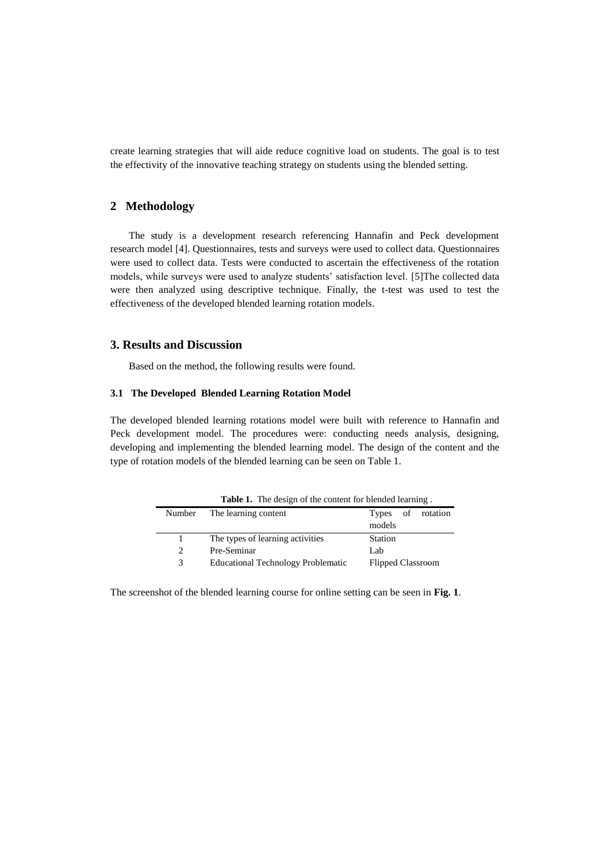create learning strategies that will aide reduce cognitive load on students. The goal is to test the effectivity of the innovative teaching strategy on students using the blended setting.

## **2 Methodology**

The study is a development research referencing Hannafin and Peck development research model [4]. Questionnaires, tests and surveys were used to collect data. Questionnaires were used to collect data. Tests were conducted to ascertain the effectiveness of the rotation models, while surveys were used to analyze students' satisfaction level. [5]The collected data were then analyzed using descriptive technique. Finally, the t-test was used to test the effectiveness of the developed blended learning rotation models.

## **3. Results and Discussion**

Based on the method, the following results were found.

#### **3.1 The Developed Blended Learning Rotation Model**

The developed blended learning rotations model were built with reference to Hannafin and Peck development model. The procedures were: conducting needs analysis, designing, developing and implementing the blended learning model. The design of the content and the type of rotation models of the blended learning can be seen on Table 1.

|        | <b>Table 1.</b> The design of the content for biended rearning. |                          |
|--------|-----------------------------------------------------------------|--------------------------|
| Number | The learning content                                            | Types of rotation        |
|        |                                                                 | models                   |
|        | The types of learning activities                                | Station                  |
| 2      | Pre-Seminar                                                     | Lab                      |
| 3      | <b>Educational Technology Problematic</b>                       | <b>Flipped Classroom</b> |

**Table 1.** The design of the content for blended learning .

The screenshot of the blended learning course for online setting can be seen in **Fig. 1**.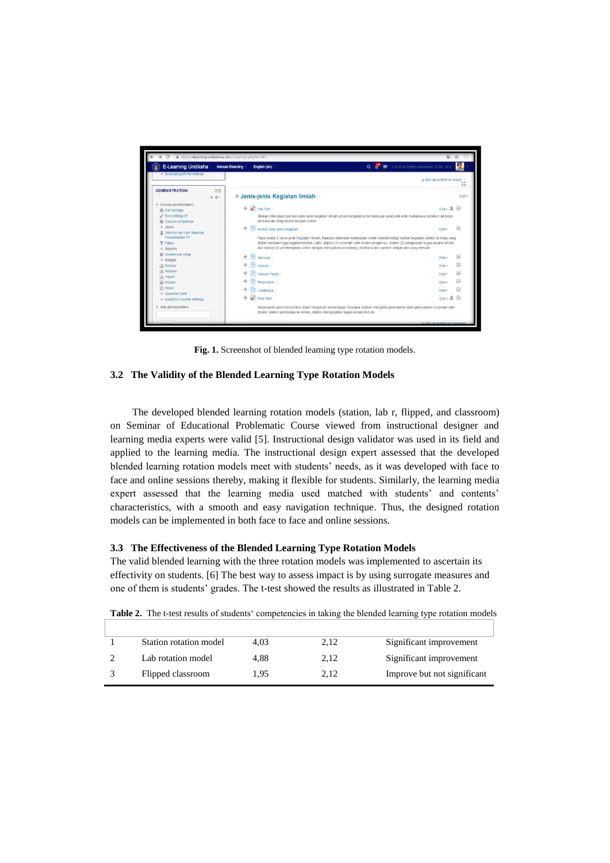

**Fig. 1.** Screenshot of blended learning type rotation models.

### **3.2 The Validity of the Blended Learning Type Rotation Models**

The developed blended learning rotation models (station, lab r, flipped, and classroom) on Seminar of Educational Problematic Course viewed from instructional designer and learning media experts were valid [5]. Instructional design validator was used in its field and applied to the learning media. The instructional design expert assessed that the developed blended learning rotation models meet with students' needs, as it was developed with face to face and online sessions thereby, making it flexible for students. Similarly, the learning media expert assessed that the learning media used matched with students' and contents' characteristics, with a smooth and easy navigation technique. Thus, the designed rotation models can be implemented in both face to face and online sessions.

#### **3.3 The Effectiveness of the Blended Learning Type Rotation Models**

The valid blended learning with the three rotation models was implemented to ascertain its effectivity on students. [6] The best way to assess impact is by using surrogate measures and one of them is students' grades. The t-test showed the results as illustrated in Table 2.

| <b>TWORK IN THE CAUGHTER OF SUGGETHS COMPOUNDED</b> IN WRITING THE STEREOG TOWARD THOUGHTS |      |      |                             |
|--------------------------------------------------------------------------------------------|------|------|-----------------------------|
| Station rotation model                                                                     | 4.03 | 2,12 | Significant improvement     |
| Lab rotation model                                                                         | 4.88 | 2,12 | Significant improvement     |
| Flipped classroom                                                                          | 1.95 | 2.12 | Improve but not significant |

**Table 2.** The t-test results of students' competencies in taking the blended learning type rotation models